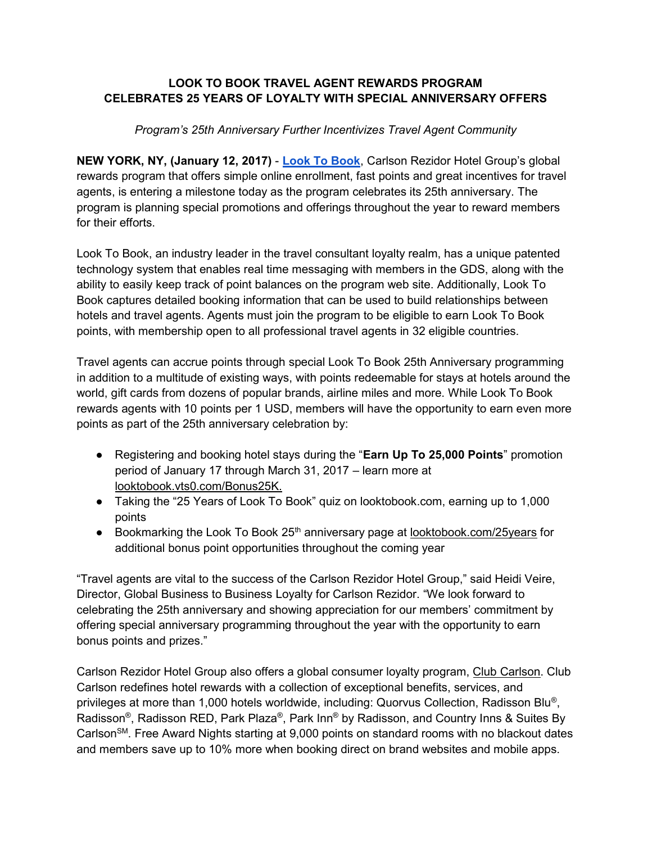## LOOK TO BOOK TRAVEL AGENT REWARDS PROGRAM CELEBRATES 25 YEARS OF LOYALTY WITH SPECIAL ANNIVERSARY OFFERS

## Program's 25th Anniversary Further Incentivizes Travel Agent Community

NEW YORK, NY, (January 12, 2017) - Look To Book, Carlson Rezidor Hotel Group's global rewards program that offers simple online enrollment, fast points and great incentives for travel agents, is entering a milestone today as the program celebrates its 25th anniversary. The program is planning special promotions and offerings throughout the year to reward members for their efforts.

Look To Book, an industry leader in the travel consultant loyalty realm, has a unique patented technology system that enables real time messaging with members in the GDS, along with the ability to easily keep track of point balances on the program web site. Additionally, Look To Book captures detailed booking information that can be used to build relationships between hotels and travel agents. Agents must join the program to be eligible to earn Look To Book points, with membership open to all professional travel agents in 32 eligible countries.

Travel agents can accrue points through special Look To Book 25th Anniversary programming in addition to a multitude of existing ways, with points redeemable for stays at hotels around the world, gift cards from dozens of popular brands, airline miles and more. While Look To Book rewards agents with 10 points per 1 USD, members will have the opportunity to earn even more points as part of the 25th anniversary celebration by:

- Registering and booking hotel stays during the "Earn Up To 25,000 Points" promotion period of January 17 through March 31, 2017 – learn more at looktobook.vts0.com/Bonus25K.
- Taking the "25 Years of Look To Book" quiz on looktobook.com, earning up to 1,000 points
- Bookmarking the Look To Book 25<sup>th</sup> anniversary page at <u>looktobook.com/25years</u> for additional bonus point opportunities throughout the coming year

"Travel agents are vital to the success of the Carlson Rezidor Hotel Group," said Heidi Veire, Director, Global Business to Business Loyalty for Carlson Rezidor. "We look forward to celebrating the 25th anniversary and showing appreciation for our members' commitment by offering special anniversary programming throughout the year with the opportunity to earn bonus points and prizes."

Carlson Rezidor Hotel Group also offers a global consumer loyalty program, Club Carlson. Club Carlson redefines hotel rewards with a collection of exceptional benefits, services, and privileges at more than 1,000 hotels worldwide, including: Quorvus Collection, Radisson Blu®, Radisson®, Radisson RED, Park Plaza®, Park Inn® by Radisson, and Country Inns & Suites By Carlson<sup>SM</sup>. Free Award Nights starting at 9,000 points on standard rooms with no blackout dates and members save up to 10% more when booking direct on brand websites and mobile apps.